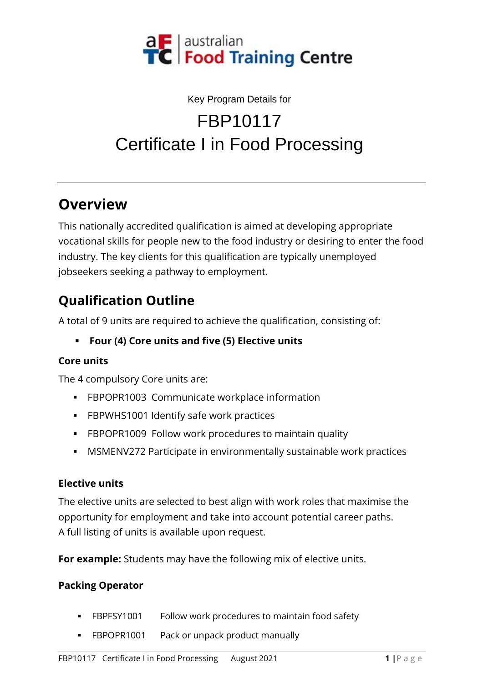

# Key Program Details for FBP10117 Certificate I in Food Processing

# **Overview**

This nationally accredited qualification is aimed at developing appropriate vocational skills for people new to the food industry or desiring to enter the food industry. The key clients for this qualification are typically unemployed jobseekers seeking a pathway to employment.

# **Qualification Outline**

A total of 9 units are required to achieve the qualification, consisting of:

### ▪ **Four (4) Core units and five (5) Elective units**

### **Core units**

The 4 compulsory Core units are:

- FBPOPR1003 Communicate workplace information
- FBPWHS1001 Identify safe work practices
- FBPOPR1009 Follow work procedures to maintain quality
- **■** MSMENV272 Participate in environmentally sustainable work practices

### **Elective units**

The elective units are selected to best align with work roles that maximise the opportunity for employment and take into account potential career paths. A full listing of units is available upon request.

**For example:** Students may have the following mix of elective units.

### **Packing Operator**

- FBPFSY1001 Follow work procedures to maintain food safety
- **FBPOPR1001** Pack or unpack product manually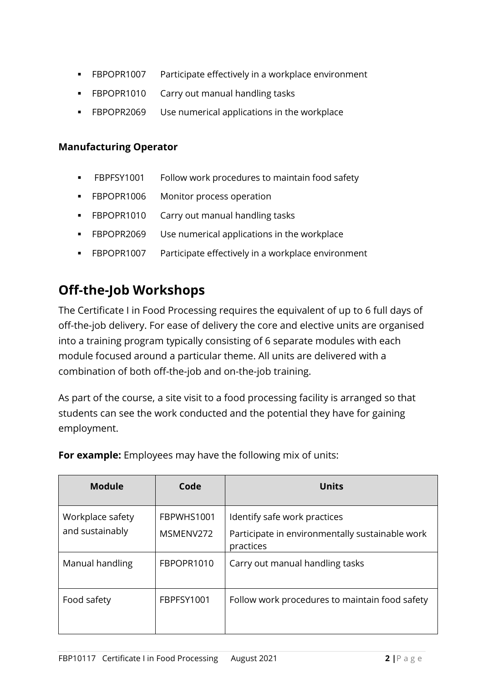- **EBPOPR1007** Participate effectively in a workplace environment
- FBPOPR1010 Carry out manual handling tasks
- FBPOPR2069 Use numerical applications in the workplace

#### **Manufacturing Operator**

- FBPFSY1001 Follow work procedures to maintain food safety
- **FBPOPR1006 Monitor process operation**
- FBPOPR1010 Carry out manual handling tasks
- FBPOPR2069 Use numerical applications in the workplace
- FBPOPR1007 Participate effectively in a workplace environment

### **Off-the-Job Workshops**

The Certificate I in Food Processing requires the equivalent of up to 6 full days of off-the-job delivery. For ease of delivery the core and elective units are organised into a training program typically consisting of 6 separate modules with each module focused around a particular theme. All units are delivered with a combination of both off-the-job and on-the-job training.

As part of the course, a site visit to a food processing facility is arranged so that students can see the work conducted and the potential they have for gaining employment.

| <b>Module</b>                       | Code                    | <b>Units</b>                                                                                 |
|-------------------------------------|-------------------------|----------------------------------------------------------------------------------------------|
| Workplace safety<br>and sustainably | FBPWHS1001<br>MSMENV272 | Identify safe work practices<br>Participate in environmentally sustainable work<br>practices |
| Manual handling                     | FBPOPR1010              | Carry out manual handling tasks                                                              |
| Food safety                         | FBPFSY1001              | Follow work procedures to maintain food safety                                               |

**For example:** Employees may have the following mix of units: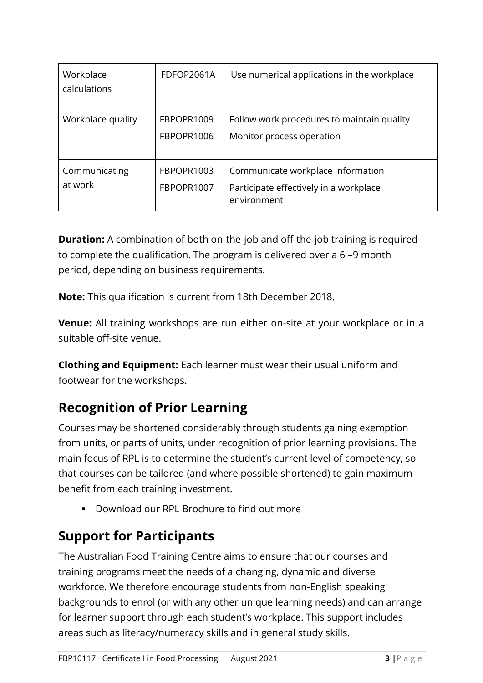| Workplace<br>calculations | FDFOP2061A               | Use numerical applications in the workplace                                                |
|---------------------------|--------------------------|--------------------------------------------------------------------------------------------|
| Workplace quality         | FBPOPR1009<br>FBPOPR1006 | Follow work procedures to maintain quality<br>Monitor process operation                    |
| Communicating<br>at work  | FBPOPR1003<br>FBPOPR1007 | Communicate workplace information<br>Participate effectively in a workplace<br>environment |

**Duration:** A combination of both on-the-job and off-the-job training is required to complete the qualification. The program is delivered over a 6 –9 month period, depending on business requirements.

**Note:** This qualification is current from 18th December 2018.

**Venue:** All training workshops are run either on-site at your workplace or in a suitable off-site venue.

**Clothing and Equipment:** Each learner must wear their usual uniform and footwear for the workshops.

# **Recognition of Prior Learning**

Courses may be shortened considerably through students gaining exemption from units, or parts of units, under recognition of prior learning provisions. The main focus of RPL is to determine the student's current level of competency, so that courses can be tailored (and where possible shortened) to gain maximum benefit from each training investment.

Download our RPL Brochure to find out more

# **Support for Participants**

The Australian Food Training Centre aims to ensure that our courses and training programs meet the needs of a changing, dynamic and diverse workforce. We therefore encourage students from non-English speaking backgrounds to enrol (or with any other unique learning needs) and can arrange for learner support through each student's workplace. This support includes areas such as literacy/numeracy skills and in general study skills.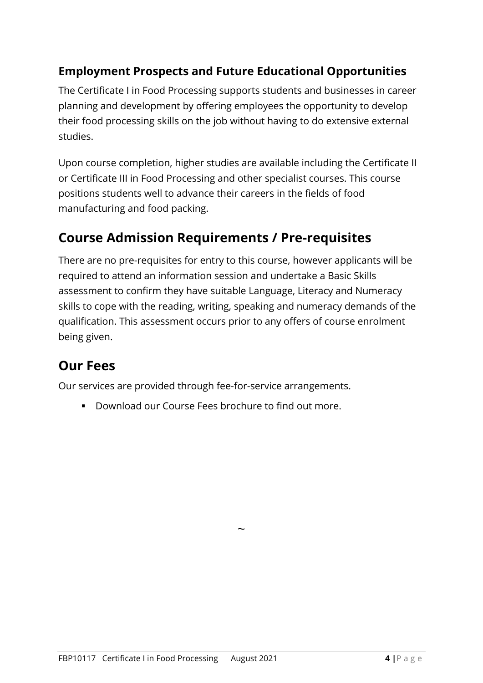### **Employment Prospects and Future Educational Opportunities**

The Certificate I in Food Processing supports students and businesses in career planning and development by offering employees the opportunity to develop their food processing skills on the job without having to do extensive external studies.

Upon course completion, higher studies are available including the Certificate II or Certificate III in Food Processing and other specialist courses. This course positions students well to advance their careers in the fields of food manufacturing and food packing.

# **Course Admission Requirements / Pre-requisites**

There are no pre-requisites for entry to this course, however applicants will be required to attend an information session and undertake a Basic Skills assessment to confirm they have suitable Language, Literacy and Numeracy skills to cope with the reading, writing, speaking and numeracy demands of the qualification. This assessment occurs prior to any offers of course enrolment being given.

 $\ddot{\phantom{0}}$ 

# **Our Fees**

Our services are provided through fee-for-service arrangements.

▪ Download our Course Fees brochure to find out more.